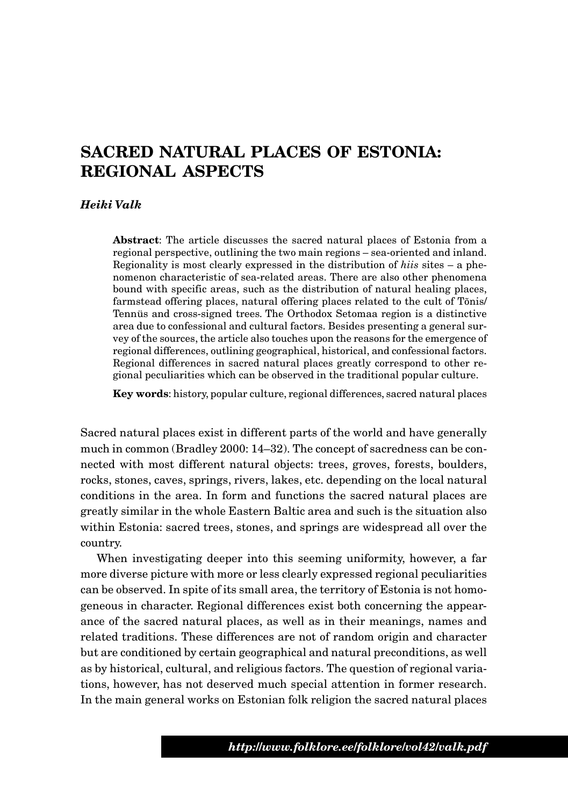# **SACRED NATURAL PLACES OF ESTONIA: REGIONAL ASPECTS**

#### *Heiki Valk*

**Abstract**: The article discusses the sacred natural places of Estonia from a regional perspective, outlining the two main regions – sea-oriented and inland. Regionality is most clearly expressed in the distribution of *hiis* sites – a phenomenon characteristic of sea-related areas. There are also other phenomena bound with specific areas, such as the distribution of natural healing places, farmstead offering places, natural offering places related to the cult of Tõnis/ Tennüs and cross-signed trees. The Orthodox Setomaa region is a distinctive area due to confessional and cultural factors. Besides presenting a general survey of the sources, the article also touches upon the reasons for the emergence of regional differences, outlining geographical, historical, and confessional factors. Regional differences in sacred natural places greatly correspond to other regional peculiarities which can be observed in the traditional popular culture.

**Key words**: history, popular culture, regional differences, sacred natural places

Sacred natural places exist in different parts of the world and have generally much in common (Bradley 2000: 14–32). The concept of sacredness can be connected with most different natural objects: trees, groves, forests, boulders, rocks, stones, caves, springs, rivers, lakes, etc. depending on the local natural conditions in the area. In form and functions the sacred natural places are greatly similar in the whole Eastern Baltic area and such is the situation also within Estonia: sacred trees, stones, and springs are widespread all over the country.

When investigating deeper into this seeming uniformity, however, a far more diverse picture with more or less clearly expressed regional peculiarities can be observed. In spite of its small area, the territory of Estonia is not homogeneous in character. Regional differences exist both concerning the appearance of the sacred natural places, as well as in their meanings, names and related traditions. These differences are not of random origin and character but are conditioned by certain geographical and natural preconditions, as well as by historical, cultural, and religious factors. The question of regional variations, however, has not deserved much special attention in former research. In the main general works on Estonian folk religion the sacred natural places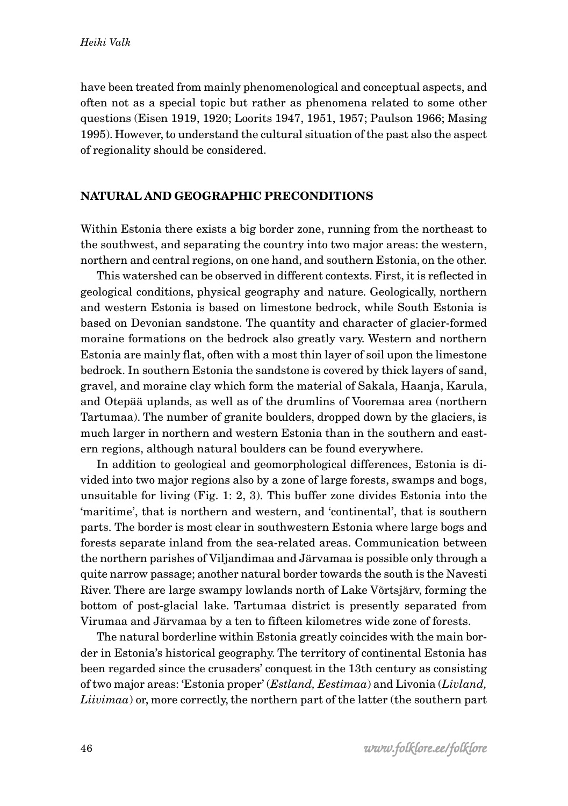have been treated from mainly phenomenological and conceptual aspects, and often not as a special topic but rather as phenomena related to some other questions (Eisen 1919, 1920; Loorits 1947, 1951, 1957; Paulson 1966; Masing 1995). However, to understand the cultural situation of the past also the aspect of regionality should be considered.

### **NATURAL AND GEOGRAPHIC PRECONDITIONS**

Within Estonia there exists a big border zone, running from the northeast to the southwest, and separating the country into two major areas: the western, northern and central regions, on one hand, and southern Estonia, on the other.

This watershed can be observed in different contexts. First, it is reflected in geological conditions, physical geography and nature. Geologically, northern and western Estonia is based on limestone bedrock, while South Estonia is based on Devonian sandstone. The quantity and character of glacier-formed moraine formations on the bedrock also greatly vary. Western and northern Estonia are mainly flat, often with a most thin layer of soil upon the limestone bedrock. In southern Estonia the sandstone is covered by thick layers of sand, gravel, and moraine clay which form the material of Sakala, Haanja, Karula, and Otepää uplands, as well as of the drumlins of Vooremaa area (northern Tartumaa). The number of granite boulders, dropped down by the glaciers, is much larger in northern and western Estonia than in the southern and eastern regions, although natural boulders can be found everywhere.

In addition to geological and geomorphological differences, Estonia is divided into two major regions also by a zone of large forests, swamps and bogs, unsuitable for living (Fig. 1: 2, 3). This buffer zone divides Estonia into the 'maritime', that is northern and western, and 'continental', that is southern parts. The border is most clear in southwestern Estonia where large bogs and forests separate inland from the sea-related areas. Communication between the northern parishes of Viljandimaa and Järvamaa is possible only through a quite narrow passage; another natural border towards the south is the Navesti River. There are large swampy lowlands north of Lake Võrtsjärv, forming the bottom of post-glacial lake. Tartumaa district is presently separated from Virumaa and Järvamaa by a ten to fifteen kilometres wide zone of forests.

The natural borderline within Estonia greatly coincides with the main border in Estonia's historical geography. The territory of continental Estonia has been regarded since the crusaders' conquest in the 13th century as consisting of two major areas: 'Estonia proper' (*Estland, Eestimaa*) and Livonia (*Livland, Liivimaa*) or, more correctly, the northern part of the latter (the southern part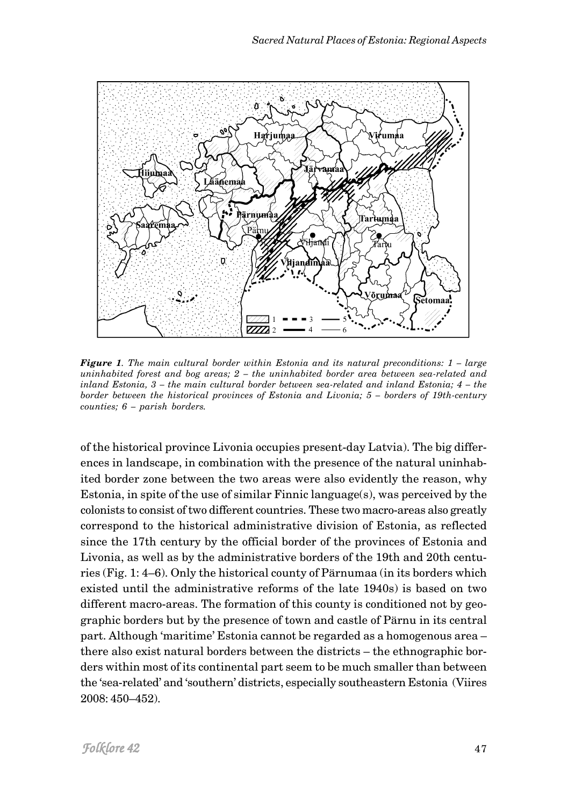

*Figure 1. The main cultural border within Estonia and its natural preconditions: 1 – large uninhabited forest and bog areas; 2 – the uninhabited border area between sea-related and inland Estonia, 3 – the main cultural border between sea-related and inland Estonia; 4 – the border between the historical provinces of Estonia and Livonia; 5 – borders of 19th-century counties; 6 – parish borders.*

of the historical province Livonia occupies present-day Latvia). The big differences in landscape, in combination with the presence of the natural uninhabited border zone between the two areas were also evidently the reason, why Estonia, in spite of the use of similar Finnic language(s), was perceived by the colonists to consist of two different countries. These two macro-areas also greatly correspond to the historical administrative division of Estonia, as reflected since the 17th century by the official border of the provinces of Estonia and Livonia, as well as by the administrative borders of the 19th and 20th centuries (Fig. 1: 4–6). Only the historical county of Pärnumaa (in its borders which existed until the administrative reforms of the late 1940s) is based on two different macro-areas. The formation of this county is conditioned not by geographic borders but by the presence of town and castle of Pärnu in its central part. Although 'maritime' Estonia cannot be regarded as a homogenous area – there also exist natural borders between the districts – the ethnographic borders within most of its continental part seem to be much smaller than between the 'sea-related' and 'southern' districts, especially southeastern Estonia (Viires 2008: 450–452).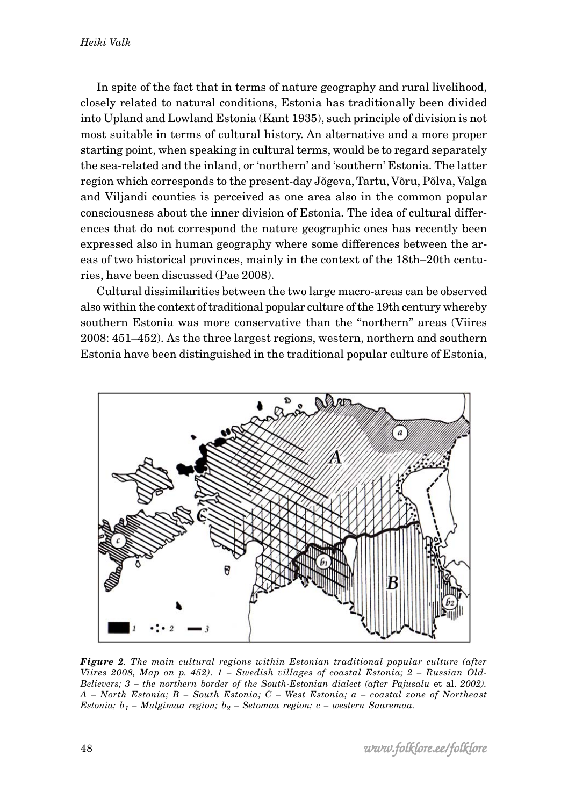In spite of the fact that in terms of nature geography and rural livelihood, closely related to natural conditions, Estonia has traditionally been divided into Upland and Lowland Estonia (Kant 1935), such principle of division is not most suitable in terms of cultural history. An alternative and a more proper starting point, when speaking in cultural terms, would be to regard separately the sea-related and the inland, or 'northern' and 'southern' Estonia. The latter region which corresponds to the present-day Jõgeva, Tartu, Võru, Põlva, Valga and Viljandi counties is perceived as one area also in the common popular consciousness about the inner division of Estonia. The idea of cultural differences that do not correspond the nature geographic ones has recently been expressed also in human geography where some differences between the areas of two historical provinces, mainly in the context of the 18th–20th centuries, have been discussed (Pae 2008).

Cultural dissimilarities between the two large macro-areas can be observed also within the context of traditional popular culture of the 19th century whereby southern Estonia was more conservative than the "northern" areas (Viires 2008: 451–452). As the three largest regions, western, northern and southern Estonia have been distinguished in the traditional popular culture of Estonia,



*Figure 2. The main cultural regions within Estonian traditional popular culture (after Viires 2008, Map on p. 452). 1 – Swedish villages of coastal Estonia; 2 – Russian Old-Believers; 3 – the northern border of the South-Estonian dialect (after Pajusalu et al. 2002). A – North Estonia; B – South Estonia; C – West Estonia; a – coastal zone of Northeast Estonia; b1 – Mulgimaa region; b2 – Setomaa region; c – western Saaremaa.*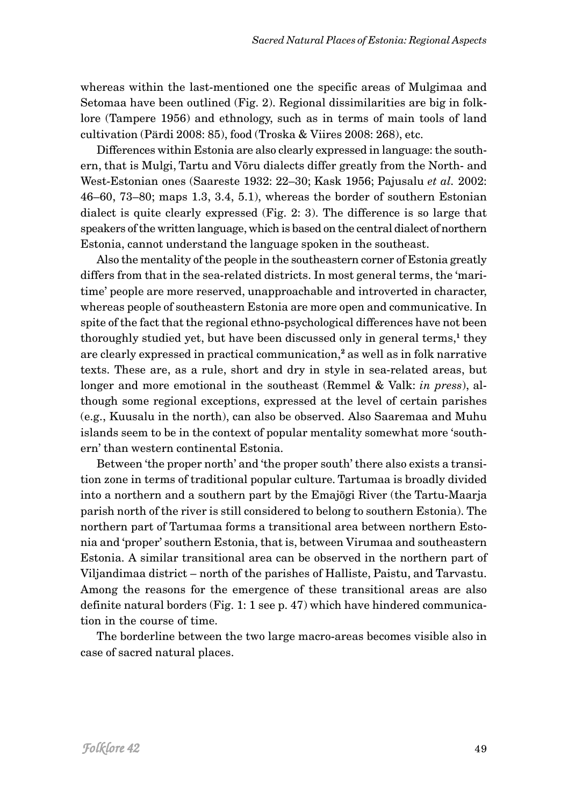whereas within the last-mentioned one the specific areas of Mulgimaa and Setomaa have been outlined (Fig. 2). Regional dissimilarities are big in folklore (Tampere 1956) and ethnology, such as in terms of main tools of land cultivation (Pärdi 2008: 85), food (Troska & Viires 2008: 268), etc.

Differences within Estonia are also clearly expressed in language: the southern, that is Mulgi, Tartu and Võru dialects differ greatly from the North- and West-Estonian ones (Saareste 1932: 22–30; Kask 1956; Pajusalu *et al.* 2002: 46–60, 73–80; maps 1.3, 3.4, 5.1), whereas the border of southern Estonian dialect is quite clearly expressed (Fig. 2: 3). The difference is so large that speakers of the written language, which is based on the central dialect of northern Estonia, cannot understand the language spoken in the southeast.

Also the mentality of the people in the southeastern corner of Estonia greatly differs from that in the sea-related districts. In most general terms, the 'maritime' people are more reserved, unapproachable and introverted in character, whereas people of southeastern Estonia are more open and communicative. In spite of the fact that the regional ethno-psychological differences have not been thoroughly studied yet, but have been discussed only in general terms,**1** they are clearly expressed in practical communication,**2** as well as in folk narrative texts. These are, as a rule, short and dry in style in sea-related areas, but longer and more emotional in the southeast (Remmel & Valk: *in press*), although some regional exceptions, expressed at the level of certain parishes (e.g., Kuusalu in the north), can also be observed. Also Saaremaa and Muhu islands seem to be in the context of popular mentality somewhat more 'southern' than western continental Estonia.

Between 'the proper north' and 'the proper south' there also exists a transition zone in terms of traditional popular culture. Tartumaa is broadly divided into a northern and a southern part by the Emajõgi River (the Tartu-Maarja parish north of the river is still considered to belong to southern Estonia). The northern part of Tartumaa forms a transitional area between northern Estonia and 'proper' southern Estonia, that is, between Virumaa and southeastern Estonia. A similar transitional area can be observed in the northern part of Viljandimaa district – north of the parishes of Halliste, Paistu, and Tarvastu. Among the reasons for the emergence of these transitional areas are also definite natural borders (Fig. 1: 1 see p. 47) which have hindered communication in the course of time.

The borderline between the two large macro-areas becomes visible also in case of sacred natural places.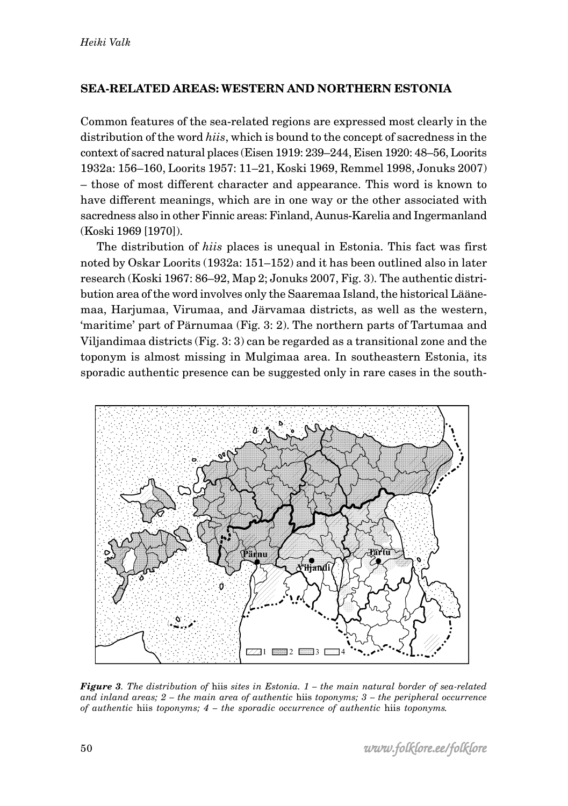# **SEA-RELATED AREAS: WESTERN AND NORTHERN ESTONIA**

Common features of the sea-related regions are expressed most clearly in the distribution of the word *hiis*, which is bound to the concept of sacredness in the context of sacred natural places (Eisen 1919: 239–244, Eisen 1920: 48–56, Loorits 1932a: 156–160, Loorits 1957: 11–21, Koski 1969, Remmel 1998, Jonuks 2007) – those of most different character and appearance. This word is known to have different meanings, which are in one way or the other associated with sacredness also in other Finnic areas: Finland, Aunus-Karelia and Ingermanland (Koski 1969 [1970]).

The distribution of *hiis* places is unequal in Estonia. This fact was first noted by Oskar Loorits (1932a: 151–152) and it has been outlined also in later research (Koski 1967: 86–92, Map 2; Jonuks 2007, Fig. 3). The authentic distribution area of the word involves only the Saaremaa Island, the historical Läänemaa, Harjumaa, Virumaa, and Järvamaa districts, as well as the western, 'maritime' part of Pärnumaa (Fig. 3: 2). The northern parts of Tartumaa and Viljandimaa districts (Fig. 3: 3) can be regarded as a transitional zone and the toponym is almost missing in Mulgimaa area. In southeastern Estonia, its sporadic authentic presence can be suggested only in rare cases in the south-



*Figure 3. The distribution of* hiis *sites in Estonia. 1 – the main natural border of sea-related and inland areas; 2 – the main area of authentic* hiis *toponyms; 3 – the peripheral occurrence of authentic* hiis *toponyms; 4 – the sporadic occurrence of authentic* hiis *toponyms.*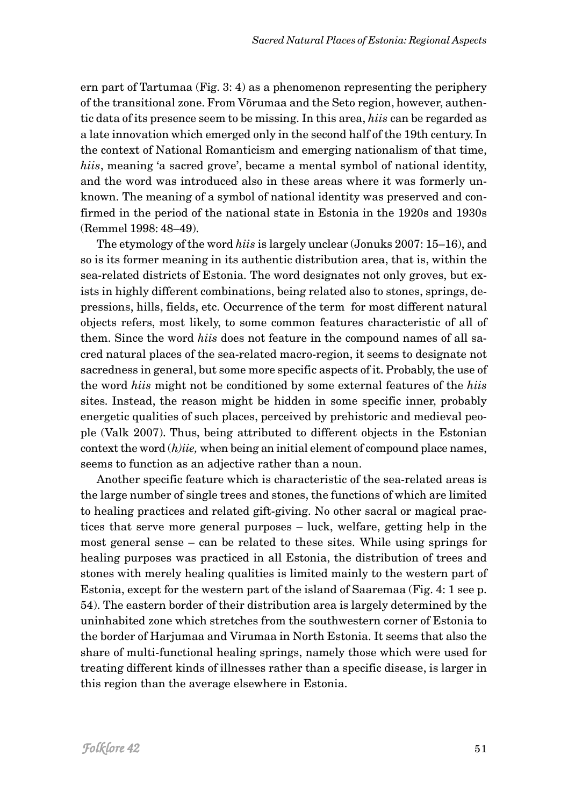ern part of Tartumaa (Fig. 3: 4) as a phenomenon representing the periphery of the transitional zone. From Võrumaa and the Seto region, however, authentic data of its presence seem to be missing. In this area, *hiis* can be regarded as a late innovation which emerged only in the second half of the 19th century. In the context of National Romanticism and emerging nationalism of that time, *hiis*, meaning 'a sacred grove', became a mental symbol of national identity, and the word was introduced also in these areas where it was formerly unknown. The meaning of a symbol of national identity was preserved and confirmed in the period of the national state in Estonia in the 1920s and 1930s (Remmel 1998: 48–49).

The etymology of the word *hiis* is largely unclear (Jonuks 2007: 15–16), and so is its former meaning in its authentic distribution area, that is, within the sea-related districts of Estonia. The word designates not only groves, but exists in highly different combinations, being related also to stones, springs, depressions, hills, fields, etc. Occurrence of the term for most different natural objects refers, most likely, to some common features characteristic of all of them. Since the word *hiis* does not feature in the compound names of all sacred natural places of the sea-related macro-region, it seems to designate not sacredness in general, but some more specific aspects of it. Probably, the use of the word *hiis* might not be conditioned by some external features of the *hiis* sites. Instead, the reason might be hidden in some specific inner, probably energetic qualities of such places, perceived by prehistoric and medieval people (Valk 2007). Thus, being attributed to different objects in the Estonian context the word (*h)iie,* when being an initial element of compound place names, seems to function as an adjective rather than a noun.

Another specific feature which is characteristic of the sea-related areas is the large number of single trees and stones, the functions of which are limited to healing practices and related gift-giving. No other sacral or magical practices that serve more general purposes – luck, welfare, getting help in the most general sense – can be related to these sites. While using springs for healing purposes was practiced in all Estonia, the distribution of trees and stones with merely healing qualities is limited mainly to the western part of Estonia, except for the western part of the island of Saaremaa (Fig. 4: 1 see p. 54). The eastern border of their distribution area is largely determined by the uninhabited zone which stretches from the southwestern corner of Estonia to the border of Harjumaa and Virumaa in North Estonia. It seems that also the share of multi-functional healing springs, namely those which were used for treating different kinds of illnesses rather than a specific disease, is larger in this region than the average elsewhere in Estonia.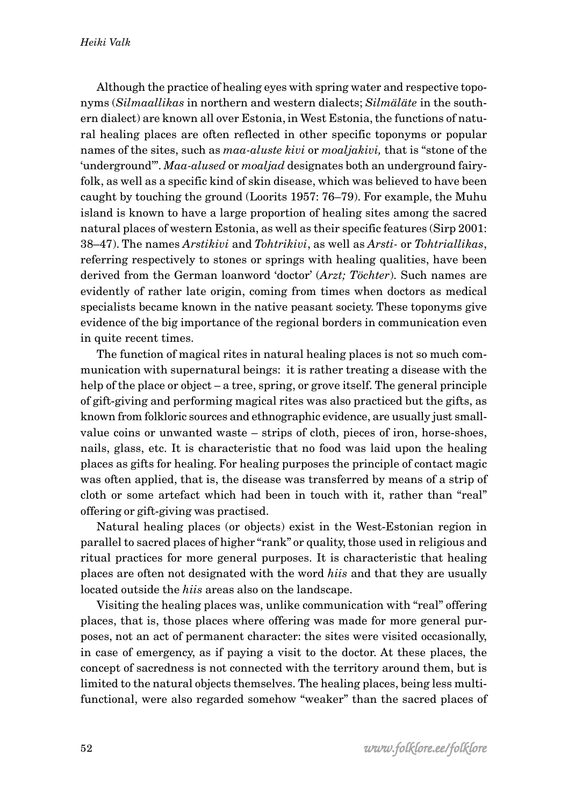Although the practice of healing eyes with spring water and respective toponyms (*Silmaallikas* in northern and western dialects; *Silmäläte* in the southern dialect) are known all over Estonia, in West Estonia, the functions of natural healing places are often reflected in other specific toponyms or popular names of the sites, such as *maa-aluste kivi* or *moaljakivi,* that is "stone of the 'underground'". *Maa-alused* or *moaljad* designates both an underground fairyfolk, as well as a specific kind of skin disease, which was believed to have been caught by touching the ground (Loorits 1957: 76–79). For example, the Muhu island is known to have a large proportion of healing sites among the sacred natural places of western Estonia, as well as their specific features (Sirp 2001: 38–47). The names *Arstikivi* and *Tohtrikivi*, as well as *Arsti-* or *Tohtriallikas*, referring respectively to stones or springs with healing qualities, have been derived from the German loanword 'doctor' (*Arzt; Töchter*). Such names are evidently of rather late origin, coming from times when doctors as medical specialists became known in the native peasant society. These toponyms give evidence of the big importance of the regional borders in communication even in quite recent times.

The function of magical rites in natural healing places is not so much communication with supernatural beings: it is rather treating a disease with the help of the place or object – a tree, spring, or grove itself. The general principle of gift-giving and performing magical rites was also practiced but the gifts, as known from folkloric sources and ethnographic evidence, are usually just smallvalue coins or unwanted waste – strips of cloth, pieces of iron, horse-shoes, nails, glass, etc. It is characteristic that no food was laid upon the healing places as gifts for healing. For healing purposes the principle of contact magic was often applied, that is, the disease was transferred by means of a strip of cloth or some artefact which had been in touch with it, rather than "real" offering or gift-giving was practised.

Natural healing places (or objects) exist in the West-Estonian region in parallel to sacred places of higher "rank" or quality, those used in religious and ritual practices for more general purposes. It is characteristic that healing places are often not designated with the word *hiis* and that they are usually located outside the *hiis* areas also on the landscape.

Visiting the healing places was, unlike communication with "real" offering places, that is, those places where offering was made for more general purposes, not an act of permanent character: the sites were visited occasionally, in case of emergency, as if paying a visit to the doctor. At these places, the concept of sacredness is not connected with the territory around them, but is limited to the natural objects themselves. The healing places, being less multifunctional, were also regarded somehow "weaker" than the sacred places of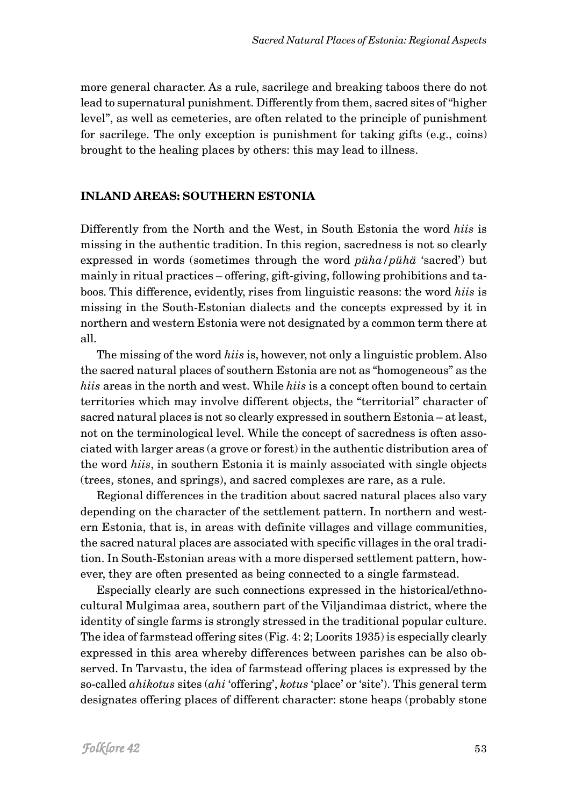more general character. As a rule, sacrilege and breaking taboos there do not lead to supernatural punishment. Differently from them, sacred sites of "higher level", as well as cemeteries, are often related to the principle of punishment for sacrilege. The only exception is punishment for taking gifts (e.g., coins) brought to the healing places by others: this may lead to illness.

#### **INLAND AREAS: SOUTHERN ESTONIA**

Differently from the North and the West, in South Estonia the word *hiis* is missing in the authentic tradition. In this region, sacredness is not so clearly expressed in words (sometimes through the word *püha/pühä* 'sacred') but mainly in ritual practices – offering, gift-giving, following prohibitions and taboos. This difference, evidently, rises from linguistic reasons: the word *hiis* is missing in the South-Estonian dialects and the concepts expressed by it in northern and western Estonia were not designated by a common term there at all.

The missing of the word *hiis* is, however, not only a linguistic problem. Also the sacred natural places of southern Estonia are not as "homogeneous" as the *hiis* areas in the north and west. While *hiis* is a concept often bound to certain territories which may involve different objects, the "territorial" character of sacred natural places is not so clearly expressed in southern Estonia – at least, not on the terminological level. While the concept of sacredness is often associated with larger areas (a grove or forest) in the authentic distribution area of the word *hiis*, in southern Estonia it is mainly associated with single objects (trees, stones, and springs), and sacred complexes are rare, as a rule.

Regional differences in the tradition about sacred natural places also vary depending on the character of the settlement pattern. In northern and western Estonia, that is, in areas with definite villages and village communities, the sacred natural places are associated with specific villages in the oral tradition. In South-Estonian areas with a more dispersed settlement pattern, however, they are often presented as being connected to a single farmstead.

Especially clearly are such connections expressed in the historical/ethnocultural Mulgimaa area, southern part of the Viljandimaa district, where the identity of single farms is strongly stressed in the traditional popular culture. The idea of farmstead offering sites (Fig. 4: 2; Loorits 1935) is especially clearly expressed in this area whereby differences between parishes can be also observed. In Tarvastu, the idea of farmstead offering places is expressed by the so-called *ahikotus* sites (*ahi* 'offering', *kotus* 'place' or 'site'). This general term designates offering places of different character: stone heaps (probably stone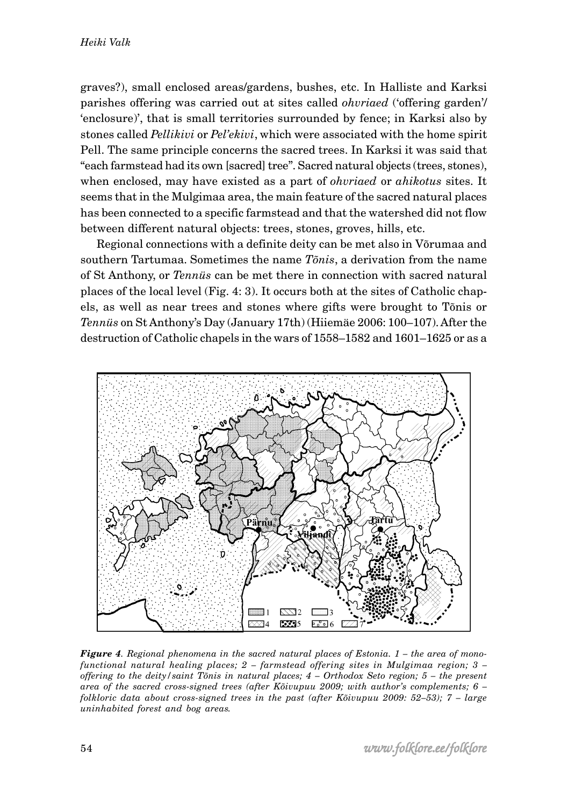graves?), small enclosed areas/gardens, bushes, etc. In Halliste and Karksi parishes offering was carried out at sites called *ohvriaed* ('offering garden'/ 'enclosure)', that is small territories surrounded by fence; in Karksi also by stones called *Pellikivi* or *Pel'ekivi*, which were associated with the home spirit Pell. The same principle concerns the sacred trees. In Karksi it was said that "each farmstead had its own [sacred] tree". Sacred natural objects (trees, stones), when enclosed, may have existed as a part of *ohvriaed* or *ahikotus* sites. It seems that in the Mulgimaa area, the main feature of the sacred natural places has been connected to a specific farmstead and that the watershed did not flow between different natural objects: trees, stones, groves, hills, etc.

Regional connections with a definite deity can be met also in Võrumaa and southern Tartumaa. Sometimes the name *Tõnis*, a derivation from the name of St Anthony, or *Tennüs* can be met there in connection with sacred natural places of the local level (Fig. 4: 3). It occurs both at the sites of Catholic chapels, as well as near trees and stones where gifts were brought to Tõnis or *Tennüs* on St Anthony's Day (January 17th) (Hiiemäe 2006: 100–107). After the destruction of Catholic chapels in the wars of 1558–1582 and 1601–1625 or as a



*Figure 4. Regional phenomena in the sacred natural places of Estonia. 1 – the area of monofunctional natural healing places; 2 – farmstead offering sites in Mulgimaa region; 3 – offering to the deity/saint Tõnis in natural places; 4 – Orthodox Seto region; 5 – the present area of the sacred cross-signed trees (after Kõivupuu 2009; with author's complements; 6 – folkloric data about cross-signed trees in the past (after Kõivupuu 2009: 52–53); 7 – large uninhabited forest and bog areas.*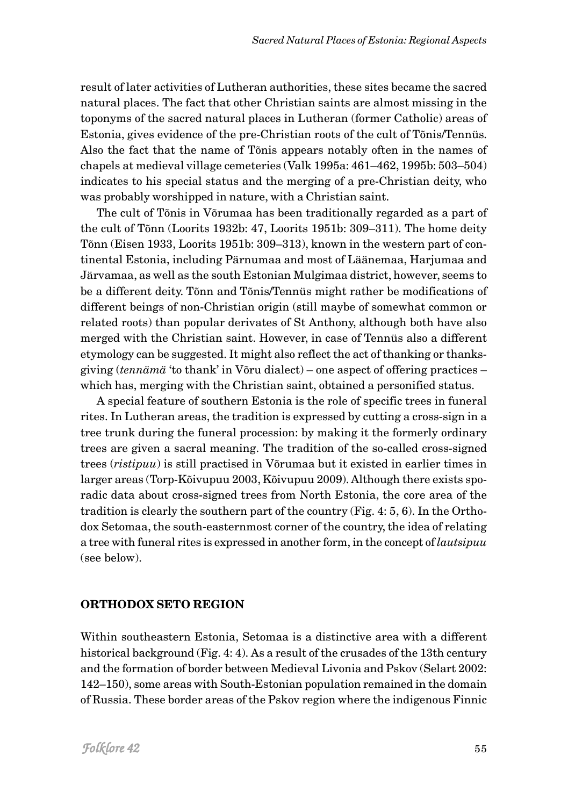result of later activities of Lutheran authorities, these sites became the sacred natural places. The fact that other Christian saints are almost missing in the toponyms of the sacred natural places in Lutheran (former Catholic) areas of Estonia, gives evidence of the pre-Christian roots of the cult of Tõnis/Tennüs. Also the fact that the name of Tõnis appears notably often in the names of chapels at medieval village cemeteries (Valk 1995a: 461–462, 1995b: 503–504) indicates to his special status and the merging of a pre-Christian deity, who was probably worshipped in nature, with a Christian saint.

The cult of Tõnis in Võrumaa has been traditionally regarded as a part of the cult of Tõnn (Loorits 1932b: 47, Loorits 1951b: 309–311). The home deity Tõnn (Eisen 1933, Loorits 1951b: 309–313), known in the western part of continental Estonia, including Pärnumaa and most of Läänemaa, Harjumaa and Järvamaa, as well as the south Estonian Mulgimaa district, however, seems to be a different deity. Tõnn and Tõnis/Tennüs might rather be modifications of different beings of non-Christian origin (still maybe of somewhat common or related roots) than popular derivates of St Anthony, although both have also merged with the Christian saint. However, in case of Tennüs also a different etymology can be suggested. It might also reflect the act of thanking or thanksgiving (*tennämä* 'to thank' in Võru dialect) – one aspect of offering practices – which has, merging with the Christian saint, obtained a personified status.

A special feature of southern Estonia is the role of specific trees in funeral rites. In Lutheran areas, the tradition is expressed by cutting a cross-sign in a tree trunk during the funeral procession: by making it the formerly ordinary trees are given a sacral meaning. The tradition of the so-called cross-signed trees (*ristipuu*) is still practised in Võrumaa but it existed in earlier times in larger areas (Torp-Kõivupuu 2003, Kõivupuu 2009). Although there exists sporadic data about cross-signed trees from North Estonia, the core area of the tradition is clearly the southern part of the country (Fig. 4: 5, 6). In the Orthodox Setomaa, the south-easternmost corner of the country, the idea of relating a tree with funeral rites is expressed in another form, in the concept of *lautsipuu* (see below).

# **ORTHODOX SETO REGION**

Within southeastern Estonia, Setomaa is a distinctive area with a different historical background (Fig. 4: 4). As a result of the crusades of the 13th century and the formation of border between Medieval Livonia and Pskov (Selart 2002: 142–150), some areas with South-Estonian population remained in the domain of Russia. These border areas of the Pskov region where the indigenous Finnic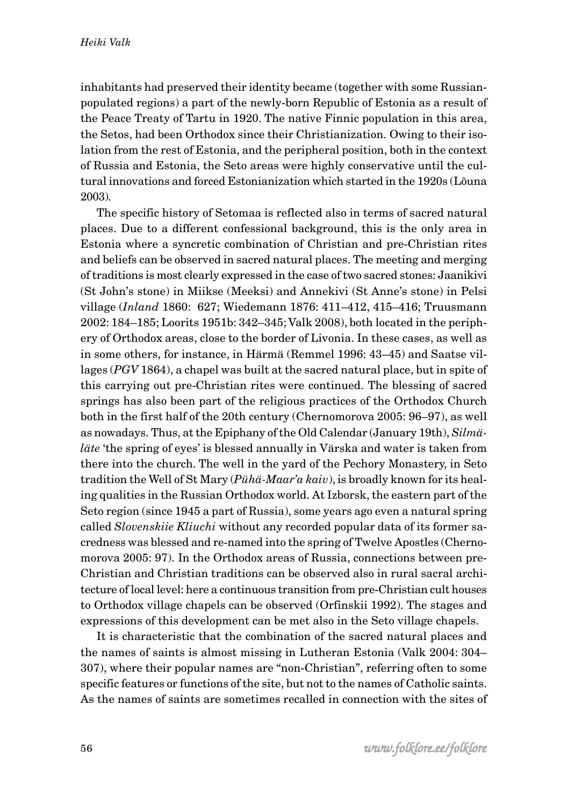inhabitants had preserved their identity became (together with some Russianpopulated regions) a part of the newly-born Republic of Estonia as a result of the Peace Treaty of Tartu in 1920. The native Finnic population in this area, the Setos, had been Orthodox since their Christianization. Owing to their isolation from the rest of Estonia, and the peripheral position, both in the context of Russia and Estonia, the Seto areas were highly conservative until the cultural innovations and forced Estonianization which started in the 1920s (Lõuna 2003).

The specific history of Setomaa is reflected also in terms of sacred natural places. Due to a different confessional background, this is the only area in Estonia where a syncretic combination of Christian and pre-Christian rites and beliefs can be observed in sacred natural places. The meeting and merging of traditions is most clearly expressed in the case of two sacred stones: Jaanikivi (St John's stone) in Miikse (Meeksi) and Annekivi (St Anne's stone) in Pelsi village (*Inland* 1860: 627; Wiedemann 1876: 411–412, 415–416; Truusmann 2002: 184–185; Loorits 1951b: 342–345; Valk 2008), both located in the periphery of Orthodox areas, close to the border of Livonia. In these cases, as well as in some others, for instance, in Härmä (Remmel 1996: 43–45) and Saatse villages (*PGV* 1864), a chapel was built at the sacred natural place, but in spite of this carrying out pre-Christian rites were continued. The blessing of sacred springs has also been part of the religious practices of the Orthodox Church both in the first half of the 20th century (Chernomorova 2005: 96–97), as well as nowadays. Thus, at the Epiphany of the Old Calendar (January 19th), *Silmäläte* 'the spring of eyes' is blessed annually in Värska and water is taken from there into the church. The well in the yard of the Pechory Monastery, in Seto tradition the Well of St Mary (*Pühä-Maar'a kaiv*), is broadly known for its healing qualities in the Russian Orthodox world. At Izborsk, the eastern part of the Seto region (since 1945 a part of Russia), some years ago even a natural spring called *Slovenskiie Kliuchi* without any recorded popular data of its former sacredness was blessed and re-named into the spring of Twelve Apostles (Chernomorova 2005: 97). In the Orthodox areas of Russia, connections between pre-Christian and Christian traditions can be observed also in rural sacral architecture of local level: here a continuous transition from pre-Christian cult houses to Orthodox village chapels can be observed (Orfinskii 1992). The stages and expressions of this development can be met also in the Seto village chapels.

It is characteristic that the combination of the sacred natural places and the names of saints is almost missing in Lutheran Estonia (Valk 2004: 304– 307), where their popular names are "non-Christian", referring often to some specific features or functions of the site, but not to the names of Catholic saints. As the names of saints are sometimes recalled in connection with the sites of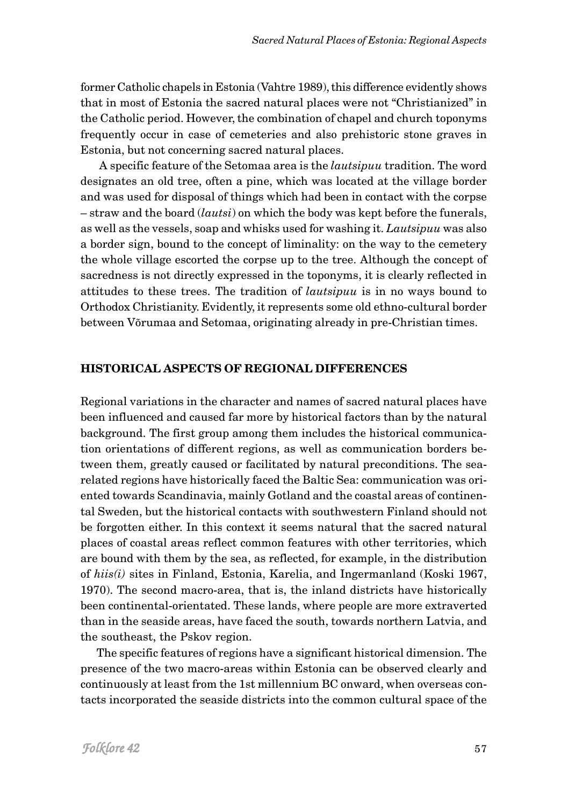former Catholic chapels in Estonia (Vahtre 1989), this difference evidently shows that in most of Estonia the sacred natural places were not "Christianized" in the Catholic period. However, the combination of chapel and church toponyms frequently occur in case of cemeteries and also prehistoric stone graves in Estonia, but not concerning sacred natural places.

 A specific feature of the Setomaa area is the *lautsipuu* tradition. The word designates an old tree, often a pine, which was located at the village border and was used for disposal of things which had been in contact with the corpse – straw and the board (*lautsi*) on which the body was kept before the funerals, as well as the vessels, soap and whisks used for washing it. *Lautsipuu* was also a border sign, bound to the concept of liminality: on the way to the cemetery the whole village escorted the corpse up to the tree. Although the concept of sacredness is not directly expressed in the toponyms, it is clearly reflected in attitudes to these trees. The tradition of *lautsipuu* is in no ways bound to Orthodox Christianity. Evidently, it represents some old ethno-cultural border between Võrumaa and Setomaa, originating already in pre-Christian times.

## **HISTORICAL ASPECTS OF REGIONAL DIFFERENCES**

Regional variations in the character and names of sacred natural places have been influenced and caused far more by historical factors than by the natural background. The first group among them includes the historical communication orientations of different regions, as well as communication borders between them, greatly caused or facilitated by natural preconditions. The searelated regions have historically faced the Baltic Sea: communication was oriented towards Scandinavia, mainly Gotland and the coastal areas of continental Sweden, but the historical contacts with southwestern Finland should not be forgotten either. In this context it seems natural that the sacred natural places of coastal areas reflect common features with other territories, which are bound with them by the sea, as reflected, for example, in the distribution of *hiis(i)* sites in Finland, Estonia, Karelia, and Ingermanland (Koski 1967, 1970). The second macro-area, that is, the inland districts have historically been continental-orientated. These lands, where people are more extraverted than in the seaside areas, have faced the south, towards northern Latvia, and the southeast, the Pskov region.

The specific features of regions have a significant historical dimension. The presence of the two macro-areas within Estonia can be observed clearly and continuously at least from the 1st millennium BC onward, when overseas contacts incorporated the seaside districts into the common cultural space of the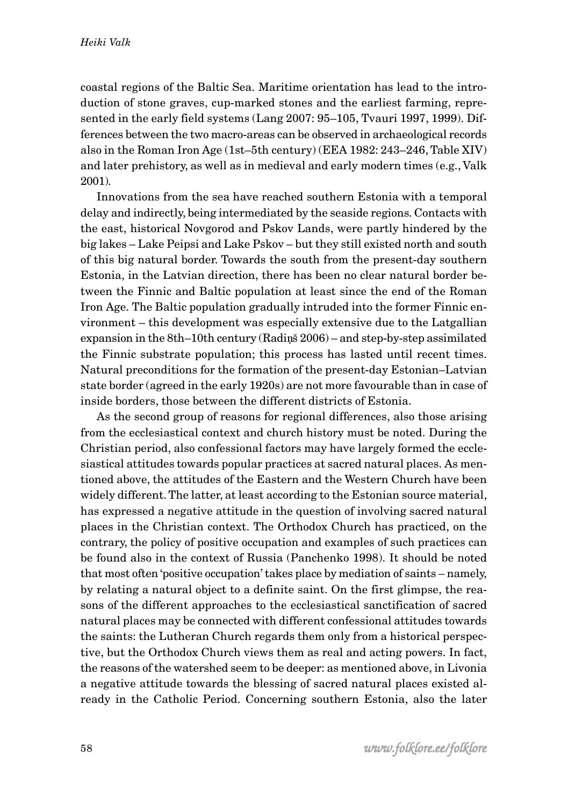coastal regions of the Baltic Sea. Maritime orientation has lead to the introduction of stone graves, cup-marked stones and the earliest farming, represented in the early field systems (Lang 2007: 95–105, Tvauri 1997, 1999). Differences between the two macro-areas can be observed in archaeological records also in the Roman Iron Age (1st–5th century) (EEA 1982: 243–246, Table XIV) and later prehistory, as well as in medieval and early modern times (e.g., Valk 2001).

Innovations from the sea have reached southern Estonia with a temporal delay and indirectly, being intermediated by the seaside regions. Contacts with the east, historical Novgorod and Pskov Lands, were partly hindered by the big lakes – Lake Peipsi and Lake Pskov – but they still existed north and south of this big natural border. Towards the south from the present-day southern Estonia, in the Latvian direction, there has been no clear natural border between the Finnic and Baltic population at least since the end of the Roman Iron Age. The Baltic population gradually intruded into the former Finnic environment – this development was especially extensive due to the Latgallian expansion in the 8th–10th century (Radi*ņ*š 2006) – and step-by-step assimilated the Finnic substrate population; this process has lasted until recent times. Natural preconditions for the formation of the present-day Estonian–Latvian state border (agreed in the early 1920s) are not more favourable than in case of inside borders, those between the different districts of Estonia.

As the second group of reasons for regional differences, also those arising from the ecclesiastical context and church history must be noted. During the Christian period, also confessional factors may have largely formed the ecclesiastical attitudes towards popular practices at sacred natural places. As mentioned above, the attitudes of the Eastern and the Western Church have been widely different. The latter, at least according to the Estonian source material, has expressed a negative attitude in the question of involving sacred natural places in the Christian context. The Orthodox Church has practiced, on the contrary, the policy of positive occupation and examples of such practices can be found also in the context of Russia (Panchenko 1998). It should be noted that most often 'positive occupation' takes place by mediation of saints – namely, by relating a natural object to a definite saint. On the first glimpse, the reasons of the different approaches to the ecclesiastical sanctification of sacred natural places may be connected with different confessional attitudes towards the saints: the Lutheran Church regards them only from a historical perspective, but the Orthodox Church views them as real and acting powers. In fact, the reasons of the watershed seem to be deeper: as mentioned above, in Livonia a negative attitude towards the blessing of sacred natural places existed already in the Catholic Period. Concerning southern Estonia, also the later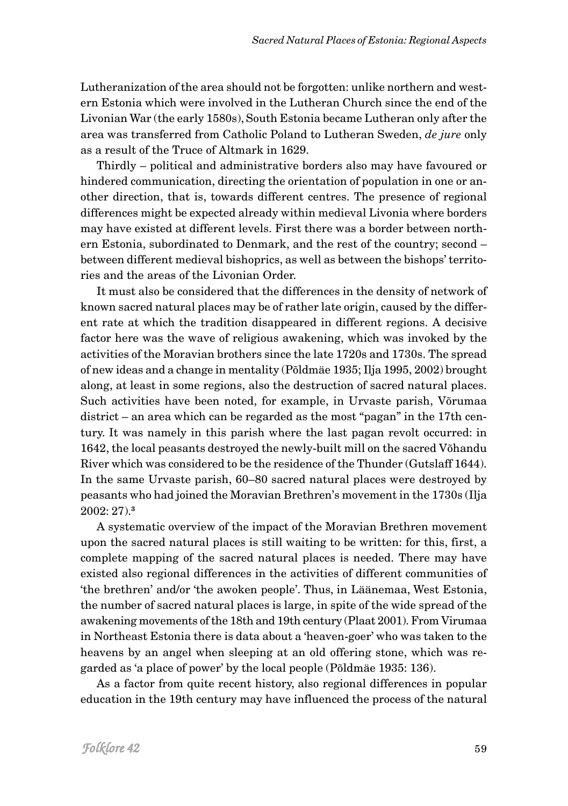Lutheranization of the area should not be forgotten: unlike northern and western Estonia which were involved in the Lutheran Church since the end of the Livonian War (the early 1580s), South Estonia became Lutheran only after the area was transferred from Catholic Poland to Lutheran Sweden, *de jure* only as a result of the Truce of Altmark in 1629.

Thirdly – political and administrative borders also may have favoured or hindered communication, directing the orientation of population in one or another direction, that is, towards different centres. The presence of regional differences might be expected already within medieval Livonia where borders may have existed at different levels. First there was a border between northern Estonia, subordinated to Denmark, and the rest of the country; second – between different medieval bishoprics, as well as between the bishops' territories and the areas of the Livonian Order.

It must also be considered that the differences in the density of network of known sacred natural places may be of rather late origin, caused by the different rate at which the tradition disappeared in different regions. A decisive factor here was the wave of religious awakening, which was invoked by the activities of the Moravian brothers since the late 1720s and 1730s. The spread of new ideas and a change in mentality (Põldmäe 1935; Ilja 1995, 2002) brought along, at least in some regions, also the destruction of sacred natural places. Such activities have been noted, for example, in Urvaste parish, Võrumaa district – an area which can be regarded as the most "pagan" in the 17th century. It was namely in this parish where the last pagan revolt occurred: in 1642, the local peasants destroyed the newly-built mill on the sacred Võhandu River which was considered to be the residence of the Thunder (Gutslaff 1644). In the same Urvaste parish, 60–80 sacred natural places were destroyed by peasants who had joined the Moravian Brethren's movement in the 1730s (Ilja 2002: 27).**<sup>3</sup>**

A systematic overview of the impact of the Moravian Brethren movement upon the sacred natural places is still waiting to be written: for this, first, a complete mapping of the sacred natural places is needed. There may have existed also regional differences in the activities of different communities of 'the brethren' and/or 'the awoken people'. Thus, in Läänemaa, West Estonia, the number of sacred natural places is large, in spite of the wide spread of the awakening movements of the 18th and 19th century (Plaat 2001). From Virumaa in Northeast Estonia there is data about a 'heaven-goer' who was taken to the heavens by an angel when sleeping at an old offering stone, which was regarded as 'a place of power' by the local people (Põldmäe 1935: 136).

As a factor from quite recent history, also regional differences in popular education in the 19th century may have influenced the process of the natural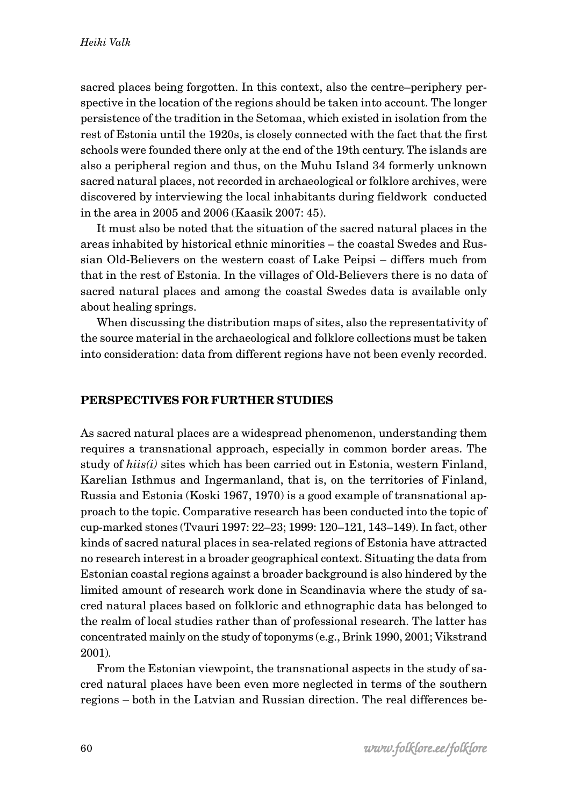sacred places being forgotten. In this context, also the centre–periphery perspective in the location of the regions should be taken into account. The longer persistence of the tradition in the Setomaa, which existed in isolation from the rest of Estonia until the 1920s, is closely connected with the fact that the first schools were founded there only at the end of the 19th century. The islands are also a peripheral region and thus, on the Muhu Island 34 formerly unknown sacred natural places, not recorded in archaeological or folklore archives, were discovered by interviewing the local inhabitants during fieldwork conducted in the area in 2005 and 2006 (Kaasik 2007: 45).

It must also be noted that the situation of the sacred natural places in the areas inhabited by historical ethnic minorities – the coastal Swedes and Russian Old-Believers on the western coast of Lake Peipsi – differs much from that in the rest of Estonia. In the villages of Old-Believers there is no data of sacred natural places and among the coastal Swedes data is available only about healing springs.

When discussing the distribution maps of sites, also the representativity of the source material in the archaeological and folklore collections must be taken into consideration: data from different regions have not been evenly recorded.

#### **PERSPECTIVES FOR FURTHER STUDIES**

As sacred natural places are a widespread phenomenon, understanding them requires a transnational approach, especially in common border areas. The study of *hiis(i)* sites which has been carried out in Estonia, western Finland, Karelian Isthmus and Ingermanland, that is, on the territories of Finland, Russia and Estonia (Koski 1967, 1970) is a good example of transnational approach to the topic. Comparative research has been conducted into the topic of cup-marked stones (Tvauri 1997: 22–23; 1999: 120–121, 143–149). In fact, other kinds of sacred natural places in sea-related regions of Estonia have attracted no research interest in a broader geographical context. Situating the data from Estonian coastal regions against a broader background is also hindered by the limited amount of research work done in Scandinavia where the study of sacred natural places based on folkloric and ethnographic data has belonged to the realm of local studies rather than of professional research. The latter has concentrated mainly on the study of toponyms (e.g., Brink 1990, 2001; Vikstrand 2001).

From the Estonian viewpoint, the transnational aspects in the study of sacred natural places have been even more neglected in terms of the southern regions – both in the Latvian and Russian direction. The real differences be-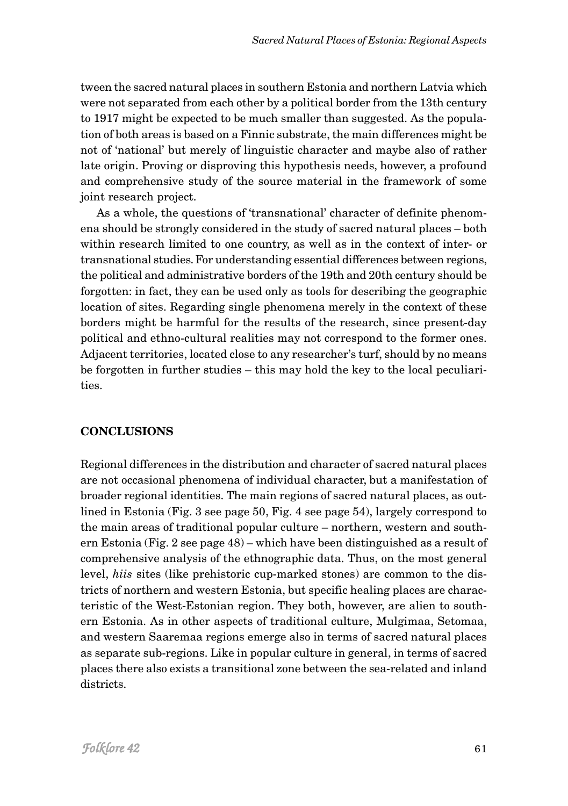tween the sacred natural places in southern Estonia and northern Latvia which were not separated from each other by a political border from the 13th century to 1917 might be expected to be much smaller than suggested. As the population of both areas is based on a Finnic substrate, the main differences might be not of 'national' but merely of linguistic character and maybe also of rather late origin. Proving or disproving this hypothesis needs, however, a profound and comprehensive study of the source material in the framework of some joint research project.

As a whole, the questions of 'transnational' character of definite phenomena should be strongly considered in the study of sacred natural places – both within research limited to one country, as well as in the context of inter- or transnational studies. For understanding essential differences between regions, the political and administrative borders of the 19th and 20th century should be forgotten: in fact, they can be used only as tools for describing the geographic location of sites. Regarding single phenomena merely in the context of these borders might be harmful for the results of the research, since present-day political and ethno-cultural realities may not correspond to the former ones. Adjacent territories, located close to any researcher's turf, should by no means be forgotten in further studies – this may hold the key to the local peculiarities.

## **CONCLUSIONS**

Regional differences in the distribution and character of sacred natural places are not occasional phenomena of individual character, but a manifestation of broader regional identities. The main regions of sacred natural places, as outlined in Estonia (Fig. 3 see page 50, Fig. 4 see page 54), largely correspond to the main areas of traditional popular culture – northern, western and southern Estonia (Fig. 2 see page 48) – which have been distinguished as a result of comprehensive analysis of the ethnographic data. Thus, on the most general level, *hiis* sites (like prehistoric cup-marked stones) are common to the districts of northern and western Estonia, but specific healing places are characteristic of the West-Estonian region. They both, however, are alien to southern Estonia. As in other aspects of traditional culture, Mulgimaa, Setomaa, and western Saaremaa regions emerge also in terms of sacred natural places as separate sub-regions. Like in popular culture in general, in terms of sacred places there also exists a transitional zone between the sea-related and inland districts.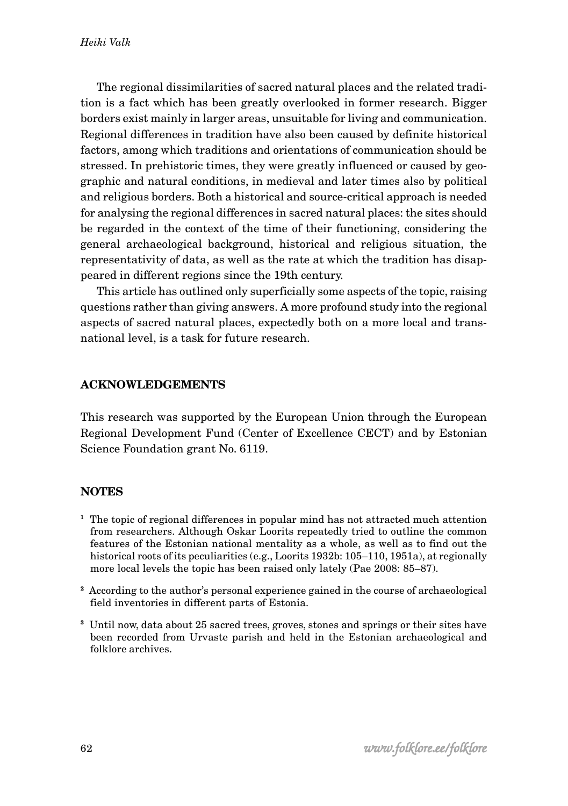The regional dissimilarities of sacred natural places and the related tradition is a fact which has been greatly overlooked in former research. Bigger borders exist mainly in larger areas, unsuitable for living and communication. Regional differences in tradition have also been caused by definite historical factors, among which traditions and orientations of communication should be stressed. In prehistoric times, they were greatly influenced or caused by geographic and natural conditions, in medieval and later times also by political and religious borders. Both a historical and source-critical approach is needed for analysing the regional differences in sacred natural places: the sites should be regarded in the context of the time of their functioning, considering the general archaeological background, historical and religious situation, the representativity of data, as well as the rate at which the tradition has disappeared in different regions since the 19th century.

This article has outlined only superficially some aspects of the topic, raising questions rather than giving answers. A more profound study into the regional aspects of sacred natural places, expectedly both on a more local and transnational level, is a task for future research.

# **ACKNOWLEDGEMENTS**

This research was supported by the European Union through the European Regional Development Fund (Center of Excellence CECT) and by Estonian Science Foundation grant No. 6119.

## **NOTES**

- **<sup>1</sup>** The topic of regional differences in popular mind has not attracted much attention from researchers. Although Oskar Loorits repeatedly tried to outline the common features of the Estonian national mentality as a whole, as well as to find out the historical roots of its peculiarities (e.g., Loorits 1932b: 105–110, 1951a), at regionally more local levels the topic has been raised only lately (Pae 2008: 85–87).
- **<sup>2</sup>** According to the author's personal experience gained in the course of archaeological field inventories in different parts of Estonia.
- **<sup>3</sup>** Until now, data about 25 sacred trees, groves, stones and springs or their sites have been recorded from Urvaste parish and held in the Estonian archaeological and folklore archives.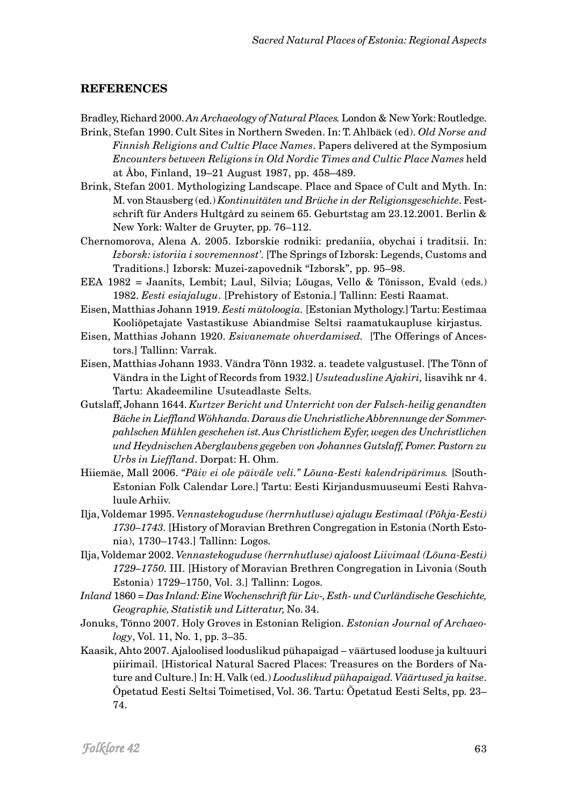### **REFERENCES**

Bradley, Richard 2000. *An Archaeology of Natural Places.* London & New York: Routledge.

- Brink, Stefan 1990. Cult Sites in Northern Sweden. In: T. Ahlbäck (ed). *Old Norse and Finnish Religions and Cultic Place Names*. Papers delivered at the Symposium *Encounters between Religions in Old Nordic Times and Cultic Place Names* held at Åbo, Finland, 19–21 August 1987, pp. 458–489.
- Brink, Stefan 2001. Mythologizing Landscape. Place and Space of Cult and Myth. In: M. von Stausberg (ed.) *Kontinuitäten und Brüche in der Religionsgeschichte*. Festschrift für Anders Hultgård zu seinem 65. Geburtstag am 23.12.2001. Berlin & New York: Walter de Gruyter, pp. 76–112.
- Chernomorova, Alena A. 2005. Izborskie rodniki: predaniia, obychai i traditsii. In: *Izborsk: istoriia i sovremennost'*. [The Springs of Izborsk: Legends, Customs and Traditions.] Izborsk: Muzei-zapovednik "Izborsk", pp. 95–98.
- EEA 1982 = Jaanits, Lembit; Laul, Silvia; Lõugas, Vello & Tõnisson, Evald (eds.) 1982. *Eesti esiajalugu*. [Prehistory of Estonia.] Tallinn: Eesti Raamat.
- Eisen, Matthias Johann 1919. *Eesti mütoloogia.* [Estonian Mythology.] Tartu: Eestimaa Kooliõpetajate Vastastikuse Abiandmise Seltsi raamatukaupluse kirjastus.
- Eisen, Matthias Johann 1920. *Esivanemate ohverdamised.* [The Offerings of Ancestors.] Tallinn: Varrak.
- Eisen, Matthias Johann 1933. Vändra Tõnn 1932. a. teadete valgustusel. [The Tõnn of Vändra in the Light of Records from 1932.] *Usuteadusline Ajakiri,* lisavihk nr 4. Tartu: Akadeemiline Usuteadlaste Selts.
- Gutslaff, Johann 1644. *Kurtzer Bericht und Unterricht von der Falsch-heilig genandten Bäche in Lieffland Wöhhanda. Daraus die Unchristliche Abbrennunge der Sommerpahlschen Mühlen geschehen ist. Aus Christlichem Eyfer, wegen des Unchristlichen und Heydnischen Aberglaubens gegeben von Johannes Gutslaff, Pomer. Pastorn zu Urbs in Lieffland*. Dorpat: H. Ohm.
- Hiiemäe, Mall 2006. *"Päiv ei ole päiväle veli." Lõuna-Eesti kalendripärimus.* [South-Estonian Folk Calendar Lore.] Tartu: Eesti Kirjandusmuuseumi Eesti Rahvaluule Arhiiv.
- Ilja, Voldemar 1995. *Vennastekoguduse (herrnhutluse) ajalugu Eestimaal (Põhja-Eesti) 1730–1743.* [History of Moravian Brethren Congregation in Estonia (North Estonia), 1730–1743.] Tallinn: Logos.
- Ilja, Voldemar 2002. *Vennastekoguduse (herrnhutluse) ajaloost Liivimaal (Lõuna-Eesti) 1729–1750.* III. [History of Moravian Brethren Congregation in Livonia (South Estonia) 1729–1750, Vol. 3.] Tallinn: Logos.
- *Inland* 1860 = *Das Inland: Eine Wochenschrift für Liv-, Esth- und Curländische Geschichte, Geographie, Statistik und Litteratur,* No. 34.
- Jonuks, Tõnno 2007. Holy Groves in Estonian Religion. *Estonian Journal of Archaeology*, Vol. 11, No. 1, pp. 3–35.
- Kaasik, Ahto 2007. Ajaloolised looduslikud pühapaigad väärtused looduse ja kultuuri piirimail. [Historical Natural Sacred Places: Treasures on the Borders of Nature and Culture.] In: H. Valk (ed.) *Looduslikud pühapaigad. Väärtused ja kaitse*. Õpetatud Eesti Seltsi Toimetised, Vol. 36. Tartu: Õpetatud Eesti Selts, pp. 23– 74.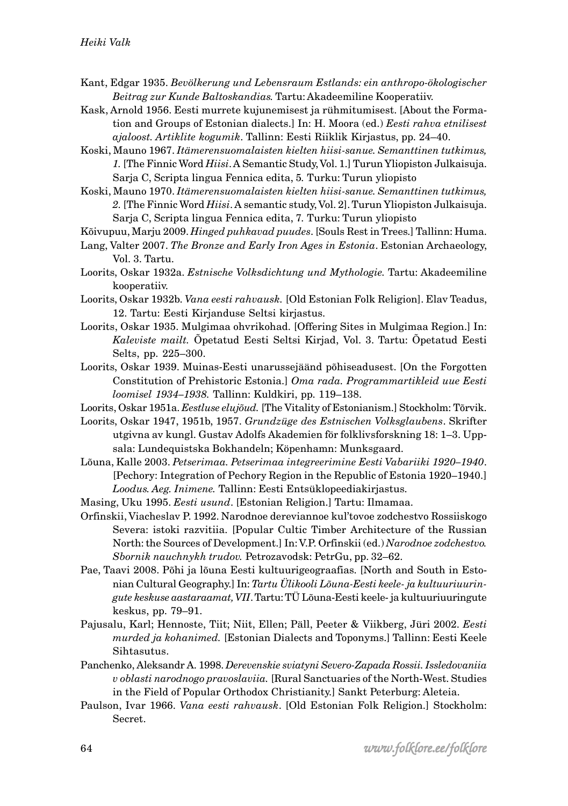- Kant, Edgar 1935. *Bevölkerung und Lebensraum Estlands: ein anthropo-ökologischer Beitrag zur Kunde Baltoskandias.* Tartu: Akadeemiline Kooperatiiv.
- Kask, Arnold 1956. Eesti murrete kujunemisest ja rühmitumisest. [About the Formation and Groups of Estonian dialects.] In: H. Moora (ed.) *Eesti rahva etnilisest ajaloost. Artiklite kogumik*. Tallinn: Eesti Riiklik Kirjastus, pp. 24–40.
- Koski, Mauno 1967. *Itämerensuomalaisten kielten hiisi-sanue. Semanttinen tutkimus, 1.* [The Finnic Word *Hiisi*. A Semantic Study, Vol. 1.] Turun Yliopiston Julkaisuja. Sarja C, Scripta lingua Fennica edita, 5*.* Turku: Turun yliopisto
- Koski, Mauno 1970. *Itämerensuomalaisten kielten hiisi-sanue. Semanttinen tutkimus, 2.* [The Finnic Word *Hiisi*. A semantic study, Vol. 2]. Turun Yliopiston Julkaisuja. Sarja C, Scripta lingua Fennica edita, 7*.* Turku: Turun yliopisto
- Kõivupuu, Marju 2009. *Hinged puhkavad puudes*. [Souls Rest in Trees.] Tallinn: Huma.
- Lang, Valter 2007. *The Bronze and Early Iron Ages in Estonia*. Estonian Archaeology, Vol. 3. Tartu.
- Loorits, Oskar 1932a. *Estnische Volksdichtung und Mythologie.* Tartu: Akadeemiline kooperatiiv.
- Loorits, Oskar 1932b. *Vana eesti rahvausk.* [Old Estonian Folk Religion]. Elav Teadus, 12. Tartu: Eesti Kirjanduse Seltsi kirjastus.
- Loorits, Oskar 1935. Mulgimaa ohvrikohad. [Offering Sites in Mulgimaa Region.] In: *Kaleviste mailt.* Õpetatud Eesti Seltsi Kirjad, Vol. 3. Tartu: Õpetatud Eesti Selts, pp. 225–300.
- Loorits, Oskar 1939. Muinas-Eesti unarussejäänd põhiseadusest. [On the Forgotten Constitution of Prehistoric Estonia.] *Oma rada. Programmartikleid uue Eesti loomisel 1934–1938.* Tallinn: Kuldkiri, pp. 119–138.
- Loorits, Oskar 1951a. *Eestluse elujõud.* [The Vitality of Estonianism.] Stockholm: Tõrvik.
- Loorits, Oskar 1947, 1951b, 1957. *Grundzüge des Estnischen Volksglaubens*. Skrifter utgivna av kungl. Gustav Adolfs Akademien för folklivsforskning 18: 1–3. Uppsala: Lundequistska Bokhandeln; Köpenhamn: Munksgaard.
- Lõuna, Kalle 2003. *Petserimaa. Petserimaa integreerimine Eesti Vabariiki 1920–1940*. [Pechory: Integration of Pechory Region in the Republic of Estonia 1920–1940.] *Loodus. Aeg. Inimene.* Tallinn: Eesti Entsüklopeediakirjastus.
- Masing, Uku 1995. *Eesti usund*. [Estonian Religion.] Tartu: Ilmamaa.
- Orfinskii, Viacheslav P. 1992. Narodnoe dereviannoe kul'tovoe zodchestvo Rossiiskogo Severa: istoki razvitiia. [Popular Cultic Timber Architecture of the Russian North: the Sources of Development.] In: V.P. Orfinskii (ed.) *Narodnoe zodchestvo. Sbornik nauchnykh trudov.* Petrozavodsk: PetrGu, pp. 32–62.
- Pae, Taavi 2008. Põhi ja lõuna Eesti kultuurigeograafias. [North and South in Estonian Cultural Geography.] In: *Tartu Ülikooli Lõuna-Eesti keele- ja kultuuriuuringute keskuse aastaraamat, VII*. Tartu: TÜ Lõuna-Eesti keele- ja kultuuriuuringute keskus, pp. 79–91.
- Pajusalu, Karl; Hennoste, Tiit; Niit, Ellen; Päll, Peeter & Viikberg, Jüri 2002. *Eesti murded ja kohanimed.* [Estonian Dialects and Toponyms.] Tallinn: Eesti Keele Sihtasutus.
- Panchenko, Aleksandr A. 1998. *Derevenskie sviatyni Severo-Zapada Rossii. Issledovaniia v oblasti narodnogo pravoslaviia.* [Rural Sanctuaries of the North-West. Studies in the Field of Popular Orthodox Christianity.] Sankt Peterburg: Aleteia.
- Paulson, Ivar 1966. *Vana eesti rahvausk*. [Old Estonian Folk Religion.] Stockholm: Secret.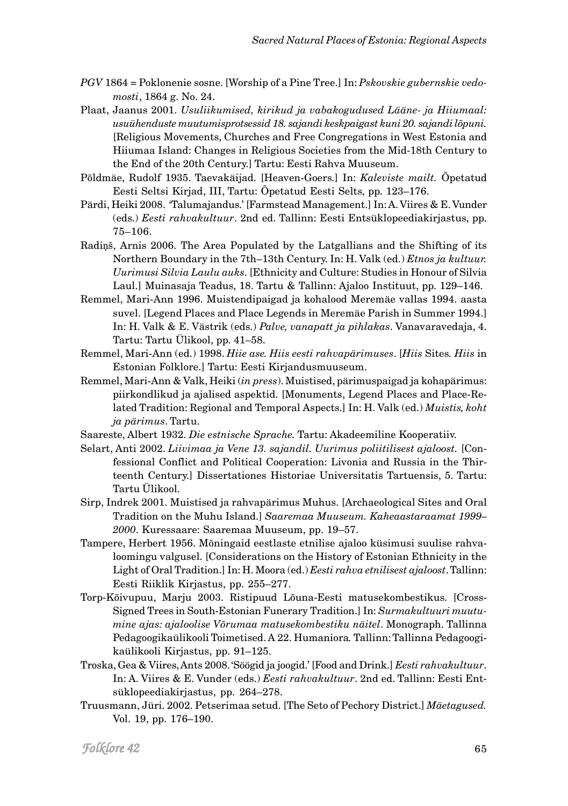- *PGV* 1864 = Poklonenie sosne. [Worship of a Pine Tree.] In: *Pskovskie gubernskie vedomosti*, 1864 g. No. 24.
- Plaat, Jaanus 2001. *Usuliikumised, kirikud ja vabakogudused Lääne- ja Hiiumaal: usuühenduste muutumisprotsessid 18. sajandi keskpaigast kuni 20. sajandi lõpuni.* [Religious Movements, Churches and Free Congregations in West Estonia and Hiiumaa Island: Changes in Religious Societies from the Mid-18th Century to the End of the 20th Century.] Tartu: Eesti Rahva Muuseum.
- Põldmäe, Rudolf 1935. Taevakäijad. [Heaven-Goers.] In: *Kaleviste mailt.* Õpetatud Eesti Seltsi Kirjad, III, Tartu: Õpetatud Eesti Selts, pp. 123–176.
- Pärdi, Heiki 2008. 'Talumajandus.' [Farmstead Management.] In: A. Viires & E. Vunder (eds.) *Eesti rahvakultuur*. 2nd ed. Tallinn: Eesti Entsüklopeediakirjastus, pp. 75–106.
- Radi*ņ*š, Arnis 2006. The Area Populated by the Latgallians and the Shifting of its Northern Boundary in the 7th–13th Century. In: H. Valk (ed.) *Etnos ja kultuur. Uurimusi Silvia Laulu auks*. [Ethnicity and Culture: Studies in Honour of Silvia Laul.] Muinasaja Teadus, 18. Tartu & Tallinn: Ajaloo Instituut, pp. 129–146.
- Remmel, Mari-Ann 1996. Muistendipaigad ja kohalood Meremäe vallas 1994. aasta suvel. [Legend Places and Place Legends in Meremäe Parish in Summer 1994.] In: H. Valk & E. Västrik (eds.) *Palve, vanapatt ja pihlakas*. Vanavaravedaja, 4. Tartu: Tartu Ülikool, pp. 41–58.
- Remmel, Mari-Ann (ed.) 1998. *Hiie ase. Hiis eesti rahvapärimuses*. [*Hiis* Sites*. Hiis* in Estonian Folklore.] Tartu: Eesti Kirjandusmuuseum.
- Remmel, Mari-Ann & Valk, Heiki (*in press*). Muistised, pärimuspaigad ja kohapärimus: piirkondlikud ja ajalised aspektid. [Monuments, Legend Places and Place-Related Tradition: Regional and Temporal Aspects.] In: H. Valk (ed.) *Muistis, koht ja pärimus*. Tartu.
- Saareste, Albert 1932. *Die estnische Sprache.* Tartu: Akadeemiline Kooperatiiv.
- Selart, Anti 2002. *Liivimaa ja Vene 13. sajandil. Uurimus poliitilisest ajaloost.* [Confessional Conflict and Political Cooperation: Livonia and Russia in the Thirteenth Century.] Dissertationes Historiae Universitatis Tartuensis, 5. Tartu: Tartu Ülikool.
- Sirp, Indrek 2001. Muistised ja rahvapärimus Muhus. [Archaeological Sites and Oral Tradition on the Muhu Island.] *Saaremaa Muuseum. Kaheaastaraamat 1999– 2000*. Kuressaare: Saaremaa Muuseum, pp. 19–57.
- Tampere, Herbert 1956. Mõningaid eestlaste etnilise ajaloo küsimusi suulise rahvaloomingu valgusel. [Considerations on the History of Estonian Ethnicity in the Light of Oral Tradition.] In: H. Moora (ed.) *Eesti rahva etnilisest ajaloost*. Tallinn: Eesti Riiklik Kirjastus, pp. 255–277.
- Torp-Kõivupuu, Marju 2003. Ristipuud Lõuna-Eesti matusekombestikus. [Cross-Signed Trees in South-Estonian Funerary Tradition.] In: *Surmakultuuri muutumine ajas: ajaloolise Võrumaa matusekombestiku näitel*. Monograph. Tallinna Pedagoogikaülikooli Toimetised. A 22. Humaniora*.* Tallinn: Tallinna Pedagoogikaülikooli Kirjastus, pp. 91–125.
- Troska, Gea & Viires, Ants 2008. 'Söögid ja joogid.' [Food and Drink.] *Eesti rahvakultuur*. In: A. Viires & E. Vunder (eds.) *Eesti rahvakultuur*. 2nd ed. Tallinn: Eesti Entsüklopeediakirjastus, pp. 264–278.
- Truusmann, Jüri. 2002. Petserimaa setud. [The Seto of Pechory District.] *Mäetagused.* Vol. 19, pp. 176–190.